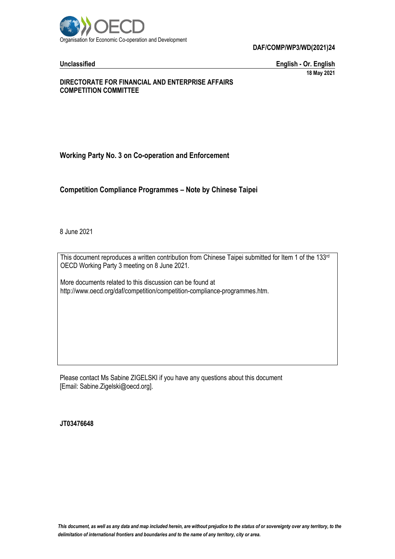

**DAF/COMP/WP3/WD(2021)24**

**Unclassified English - Or. English 18 May 2021**

### **DIRECTORATE FOR FINANCIAL AND ENTERPRISE AFFAIRS COMPETITION COMMITTEE**

# **Working Party No. 3 on Co-operation and Enforcement**

**Competition Compliance Programmes – Note by Chinese Taipei**

8 June 2021

This document reproduces a written contribution from Chinese Taipei submitted for Item 1 of the 133<sup>rd</sup> OECD Working Party 3 meeting on 8 June 2021.

More documents related to this discussion can be found at http://www.oecd.org/daf/competition/competition-compliance-programmes.htm.

Please contact Ms Sabine ZIGELSKI if you have any questions about this document [Email: Sabine.Zigelski@oecd.org].

**JT03476648**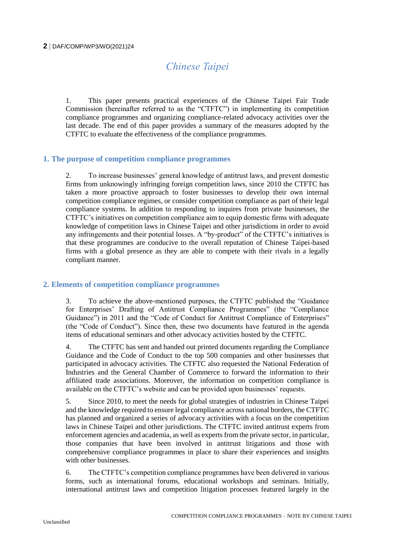# *Chinese Taipei*

1. This paper presents practical experiences of the Chinese Taipei Fair Trade Commission (hereinafter referred to as the "CTFTC") in implementing its competition compliance programmes and organizing compliance-related advocacy activities over the last decade. The end of this paper provides a summary of the measures adopted by the CTFTC to evaluate the effectiveness of the compliance programmes.

# **1. The purpose of competition compliance programmes**

2. To increase businesses' general knowledge of antitrust laws, and prevent domestic firms from unknowingly infringing foreign competition laws, since 2010 the CTFTC has taken a more proactive approach to foster businesses to develop their own internal competition compliance regimes, or consider competition compliance as part of their legal compliance systems. In addition to responding to inquires from private businesses, the CTFTC's initiatives on competition compliance aim to equip domestic firms with adequate knowledge of competition laws in Chinese Taipei and other jurisdictions in order to avoid any infringements and their potential losses. A "by-product" of the CTFTC's initiatives is that these programmes are conducive to the overall reputation of Chinese Taipei-based firms with a global presence as they are able to compete with their rivals in a legally compliant manner.

# **2. Elements of competition compliance programmes**

3. To achieve the above-mentioned purposes, the CTFTC published the "Guidance for Enterprises' Drafting of Antitrust Compliance Programmes" (the "Compliance Guidance") in 2011 and the "Code of Conduct for Antitrust Compliance of Enterprises" (the "Code of Conduct"). Since then, these two documents have featured in the agenda items of educational seminars and other advocacy activities hosted by the CTFTC.

4. The CTFTC has sent and handed out printed documents regarding the Compliance Guidance and the Code of Conduct to the top 500 companies and other businesses that participated in advocacy activities. The CTFTC also requested the National Federation of Industries and the General Chamber of Commerce to forward the information to their affiliated trade associations. Moreover, the information on competition compliance is available on the CTFTC's website and can be provided upon businesses' requests.

5. Since 2010, to meet the needs for global strategies of industries in Chinese Taipei and the knowledge required to ensure legal compliance across national borders, the CTFTC has planned and organized a series of advocacy activities with a focus on the competition laws in Chinese Taipei and other jurisdictions. The CTFTC invited antitrust experts from enforcement agencies and academia, as well as experts from the private sector, in particular, those companies that have been involved in antitrust litigations and those with comprehensive compliance programmes in place to share their experiences and insights with other businesses.

6. The CTFTC's competition compliance programmes have been delivered in various forms, such as international forums, educational workshops and seminars. Initially, international antitrust laws and competition litigation processes featured largely in the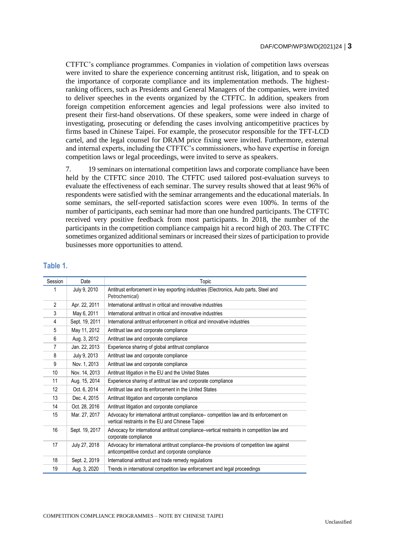CTFTC's compliance programmes. Companies in violation of competition laws overseas were invited to share the experience concerning antitrust risk, litigation, and to speak on the importance of corporate compliance and its implementation methods. The highestranking officers, such as Presidents and General Managers of the companies, were invited to deliver speeches in the events organized by the CTFTC. In addition, speakers from foreign competition enforcement agencies and legal professions were also invited to present their first-hand observations. Of these speakers, some were indeed in charge of investigating, prosecuting or defending the cases involving anticompetitive practices by firms based in Chinese Taipei. For example, the prosecutor responsible for the TFT-LCD cartel, and the legal counsel for DRAM price fixing were invited. Furthermore, external and internal experts, including the CTFTC's commissioners, who have expertise in foreign competition laws or legal proceedings, were invited to serve as speakers.

7. 19 seminars on international competition laws and corporate compliance have been held by the CTFTC since 2010. The CTFTC used tailored post-evaluation surveys to evaluate the effectiveness of each seminar. The survey results showed that at least 96% of respondents were satisfied with the seminar arrangements and the educational materials. In some seminars, the self-reported satisfaction scores were even 100%. In terms of the number of participants, each seminar had more than one hundred participants. The CTFTC received very positive feedback from most participants. In 2018, the number of the participants in the competition compliance campaign hit a record high of 203. The CTFTC sometimes organized additional seminars or increased their sizes of participation to provide businesses more opportunities to attend.

| Session        | Date           | Topic                                                                                                                                         |  |  |
|----------------|----------------|-----------------------------------------------------------------------------------------------------------------------------------------------|--|--|
|                | July 9, 2010   | Antitrust enforcement in key exporting industries (Electronics, Auto parts, Steel and<br>Petrochemical)                                       |  |  |
| $\overline{2}$ | Apr. 22, 2011  | International antitrust in critical and innovative industries                                                                                 |  |  |
| 3              | May 6, 2011    | International antitrust in critical and innovative industries                                                                                 |  |  |
| 4              | Sept. 19, 2011 | International antitrust enforcement in critical and innovative industries                                                                     |  |  |
| 5              | May 11, 2012   | Antitrust law and corporate compliance                                                                                                        |  |  |
| 6              | Aug. 3, 2012   | Antitrust law and corporate compliance                                                                                                        |  |  |
| 7              | Jan. 22, 2013  | Experience sharing of global antitrust compliance                                                                                             |  |  |
| 8              | July 9, 2013   | Antitrust law and corporate compliance                                                                                                        |  |  |
| 9              | Nov. 1, 2013   | Antitrust law and corporate compliance                                                                                                        |  |  |
| 10             | Nov. 14, 2013  | Antitrust litigation in the EU and the United States                                                                                          |  |  |
| 11             | Aug. 15, 2014  | Experience sharing of antitrust law and corporate compliance                                                                                  |  |  |
| 12             | Oct. 6, 2014   | Antitrust law and its enforcement in the United States                                                                                        |  |  |
| 13             | Dec. 4, 2015   | Antitrust litigation and corporate compliance                                                                                                 |  |  |
| 14             | Oct. 28, 2016  | Antitrust litigation and corporate compliance                                                                                                 |  |  |
| 15             | Mar. 27, 2017  | Advocacy for international antitrust compliance- competition law and its enforcement on<br>vertical restraints in the EU and Chinese Taipei   |  |  |
| 16             | Sept. 19, 2017 | Advocacy for international antitrust compliance–vertical restraints in competition law and<br>corporate compliance                            |  |  |
| 17             | July 27, 2018  | Advocacy for international antitrust compliance-the provisions of competition law against<br>anticompetitive conduct and corporate compliance |  |  |
| 18             | Sept. 2, 2019  | International antitrust and trade remedy regulations                                                                                          |  |  |
| 19             | Aug. 3, 2020   | Trends in international competition law enforcement and legal proceedings                                                                     |  |  |

#### **Table 1.**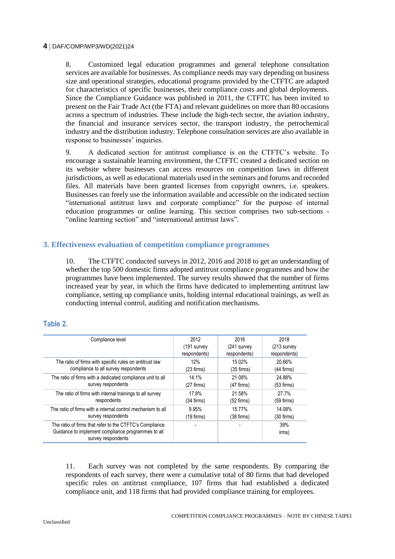#### **4** DAF/COMP/WP3/WD(2021)24

8. Customized legal education programmes and general telephone consultation services are available for businesses. As compliance needs may vary depending on business size and operational strategies, educational programs provided by the CTFTC are adapted for characteristics of specific businesses, their compliance costs and global deployments. Since the Compliance Guidance was published in 2011, the CTFTC has been invited to present on the Fair Trade Act (the FTA) and relevant guidelines on more than 80 occasions across a spectrum of industries. These include the high-tech sector, the aviation industry, the financial and insurance services sector, the transport industry, the petrochemical industry and the distribution industry. Telephone consultation services are also available in response to businesses' inquiries.

9. A dedicated section for antitrust compliance is on the CTFTC's website. To encourage a sustainable learning environment, the CTFTC created a dedicated section on its website where businesses can access resources on competition laws in different jurisdictions, as well as educational materials used in the seminars and forums and recorded files. All materials have been granted licenses from copyright owners, i.e. speakers. Businesses can freely use the information available and accessible on the indicated section "international antitrust laws and corporate compliance" for the purpose of internal education programmes or online learning. This section comprises two sub-sections - "online learning section" and "international antitrust laws".

# **3. Effectiveness evaluation of competition compliance programmes**

10. The CTFTC conducted surveys in 2012, 2016 and 2018 to get an understanding of whether the top 500 domestic firms adopted antitrust compliance programmes and how the programmes have been implemented. The survey results showed that the number of firms increased year by year, in which the firms have dedicated to implementing antitrust law compliance, setting up compliance units, holding internal educational trainings, as well as conducting internal control, auditing and notification mechanisms.

# **Table 2.**

| Compliance level                                                                                                                    | 2012         | 2016         | 2018          |
|-------------------------------------------------------------------------------------------------------------------------------------|--------------|--------------|---------------|
|                                                                                                                                     | (191 survey) | (241 survey  | $(213$ survey |
|                                                                                                                                     | respondents) | respondents) | respondents)  |
| The ratio of firms with specific rules on antitrust law                                                                             | 12%          | 15.02%       | 20.66%        |
| compliance to all survey respondents                                                                                                | $(23$ firms) | $(35$ firms) | $(44$ firms)  |
| The ratio of firms with a dedicated compliance unit to all                                                                          | 14.1%        | 21.08%       | 24.88%        |
| survey respondents                                                                                                                  | $(27$ firms) | $(47$ firms) | $(53$ firms)  |
| The ratio of firms with internal trainings to all survey                                                                            | 17.8%        | 21.58%       | 27.7%         |
| respondents                                                                                                                         | (34 firms)   | $(52$ firms) | $(59$ firms)  |
| The ratio of firms with a internal control mechanism to all                                                                         | 9.95%        | 15.77%       | 14.08%        |
| survey respondents                                                                                                                  | $(19$ firms) | $(38$ firms) | (30 firms)    |
| The ratio of firms that refer to the CTFTC's Compliance<br>Guidance to implement compliance programmes to all<br>survey respondents |              |              | 39%<br>irms)  |

11. Each survey was not completed by the same respondents. By comparing the respondents of each survey, there were a cumulative total of 80 firms that had developed specific rules on antitrust compliance, 107 firms that had established a dedicated compliance unit, and 118 firms that had provided compliance training for employees.